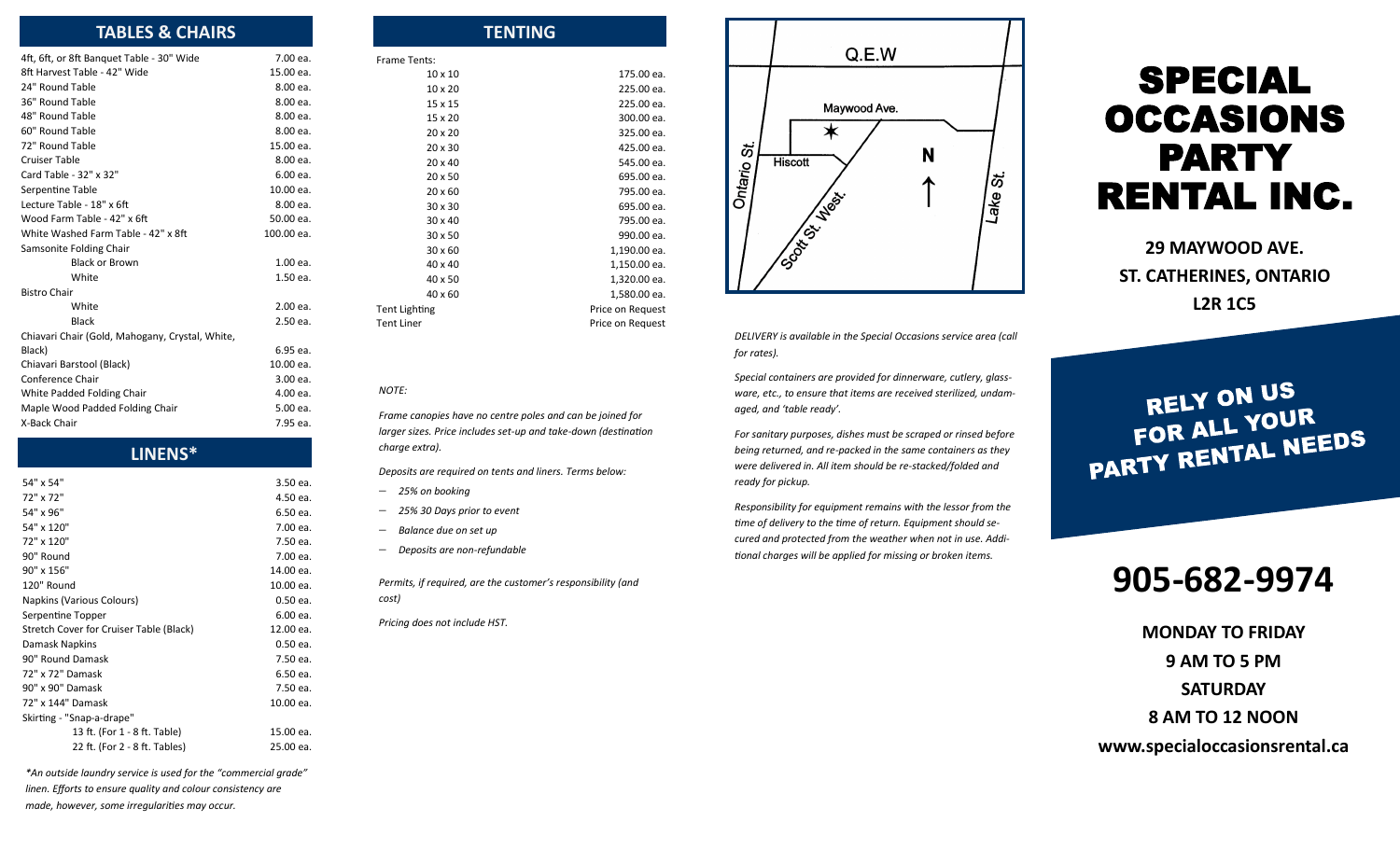| <b>TABLES &amp; CHAIRS</b>                      |            | <b>TENTING</b>                                            |                  |
|-------------------------------------------------|------------|-----------------------------------------------------------|------------------|
| 4ft, 6ft, or 8ft Banquet Table - 30" Wide       | 7.00 ea.   | Frame Tents:                                              |                  |
| 8ft Harvest Table - 42" Wide                    | 15.00 ea.  | $10 \times 10$                                            | 175.00 ea.       |
| 24" Round Table                                 | 8.00 ea.   | $10 \times 20$                                            | 225.00 ea.       |
| 36" Round Table                                 | 8.00 ea.   | 15 x 15                                                   | 225.00 ea.       |
| 48" Round Table                                 | 8.00 ea.   | 15 x 20                                                   | 300.00 ea.       |
| 60" Round Table                                 | 8.00 ea.   | $20 \times 20$                                            | 325.00 ea.       |
| 72" Round Table                                 | 15.00 ea.  | 20 x 30                                                   | 425.00 ea.       |
| <b>Cruiser Table</b>                            | 8.00 ea.   | $20 \times 40$                                            | 545.00 ea.       |
| Card Table - 32" x 32"                          | 6.00 ea.   | $20 \times 50$                                            | 695.00 ea.       |
| Serpentine Table                                | 10.00 ea.  | 20 x 60                                                   | 795.00 ea.       |
| Lecture Table - 18" x 6ft                       | 8.00 ea.   | 30 x 30                                                   | 695.00 ea.       |
| Wood Farm Table - 42" x 6ft                     | 50.00 ea.  | $30 \times 40$                                            | 795.00 ea.       |
| White Washed Farm Table - 42" x 8ft             | 100.00 ea. | 30 x 50                                                   | 990.00 ea.       |
| Samsonite Folding Chair                         |            | 30 x 60                                                   | 1,190.00 ea.     |
| <b>Black or Brown</b>                           | 1.00 ea.   | 40 x 40                                                   | 1,150.00 ea.     |
| White                                           | 1.50 ea.   | 40 x 50                                                   | 1,320.00 ea.     |
| <b>Bistro Chair</b>                             |            | $40 \times 60$                                            | 1,580.00 ea.     |
| White                                           | 2.00 ea.   | <b>Tent Lighting</b>                                      | Price on Request |
| <b>Black</b>                                    | 2.50 ea.   | <b>Tent Liner</b>                                         | Price on Request |
| Chiavari Chair (Gold, Mahogany, Crystal, White, |            |                                                           |                  |
| Black)                                          | 6.95 ea.   |                                                           |                  |
| Chiavari Barstool (Black)                       | 10.00 ea.  |                                                           |                  |
| Conference Chair                                | 3.00 ea.   |                                                           |                  |
| White Padded Folding Chair                      | 4.00 ea.   | <b>NOTE:</b>                                              |                  |
| Maple Wood Padded Folding Chair                 | 5.00 ea.   | Frame canopies have no centre poles and can be joined for |                  |
| X-Back Chair                                    | 7.95 ea.   |                                                           |                  |

#### **LINENS\***

| 54" x 54"                               | 3.50 ea.   |
|-----------------------------------------|------------|
| 72" x 72"                               | 4.50 ea.   |
| 54" x 96"                               | 6.50 ea.   |
| 54" x 120"                              | 7.00 ea.   |
| 72" x 120"                              | 7.50 ea.   |
| 90" Round                               | 7.00 ea.   |
| 90" x 156"                              | 14.00 ea.  |
| 120" Round                              | 10.00 ea.  |
| Napkins (Various Colours)               | 0.50 ea.   |
| Serpentine Topper                       | 6.00 ea.   |
| Stretch Cover for Cruiser Table (Black) | 12.00 ea.  |
| Damask Napkins                          | $0.50$ ea. |
| 90" Round Damask                        | 7.50 ea.   |
| 72" x 72" Damask                        | 6.50 ea.   |
| 90" x 90" Damask                        | 7.50 ea.   |
| 72" x 144" Damask                       | 10.00 ea.  |
| Skirting - "Snap-a-drape"               |            |
| 13 ft. (For 1 - 8 ft. Table)            | 15.00 ea.  |
| 22 ft. (For 2 - 8 ft. Tables)           | 25.00 ea.  |

*\*An outside laundry service is used for the "commercial grade" linen. Efforts to ensure quality and colour consistency are made, however, some irregularities may occur.*



*DELIVERY is available in the Special Occasions service area (call for rates).*

*Special containers are provided for dinnerware, cutlery, glassware, etc., to ensure that items are received sterilized, undamaged, and 'table ready'.*

*For sanitary purposes, dishes must be scraped or rinsed before being returned, and re-packed in the same containers as they were delivered in. All item should be re-stacked/folded and ready for pickup.*

*Responsibility for equipment remains with the lessor from the time of delivery to the time of return. Equipment should secured and protected from the weather when not in use. Additional charges will be applied for missing or broken items.*

# SPECIAL OCCASIONS PARTY RENTAL INC.

**29 MAYWOOD AVE. ST. CATHERINES, ONTARIO L2R 1C5**

RELY ON US FOR ALL YOUR FOR ALL YOUR

## **905-682-9974**

**MONDAY TO FRIDAY 9 AM TO 5 PM SATURDAY 8 AM TO 12 NOON www.specialoccasionsrental.ca**

## *Frame canopies have no centre poles and can be joined for larger sizes. Price includes set-up and take-down (destination*

*Deposits are required on tents and liners. Terms below:*

− *25% on booking*

*charge extra).*

- − *25% 30 Days prior to event*
- − *Balance due on set up*
- − *Deposits are non-refundable*

*Permits, if required, are the customer's responsibility (and cost)*

*Pricing does not include HST.*